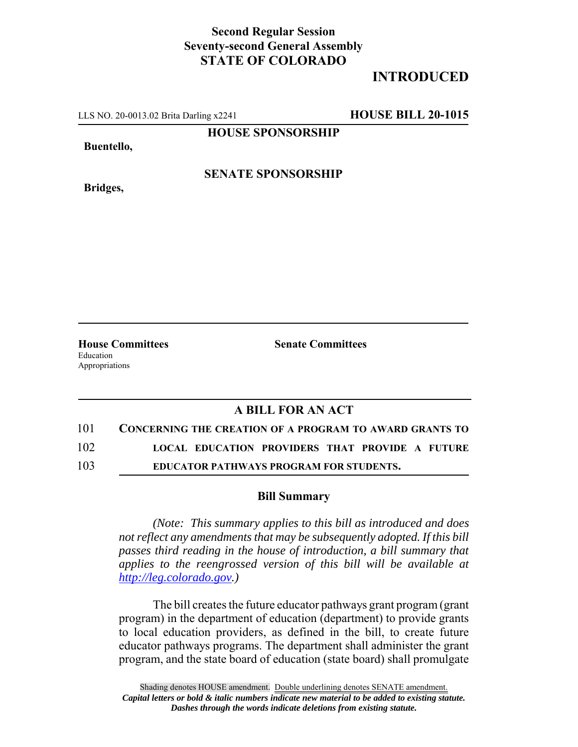## **Second Regular Session Seventy-second General Assembly STATE OF COLORADO**

## **INTRODUCED**

LLS NO. 20-0013.02 Brita Darling x2241 **HOUSE BILL 20-1015**

**HOUSE SPONSORSHIP**

**Buentello,**

**Bridges,**

**SENATE SPONSORSHIP**

Education Appropriations

**House Committees Senate Committees** 

## **A BILL FOR AN ACT**

101 **CONCERNING THE CREATION OF A PROGRAM TO AWARD GRANTS TO**

102 **LOCAL EDUCATION PROVIDERS THAT PROVIDE A FUTURE**

103 **EDUCATOR PATHWAYS PROGRAM FOR STUDENTS.**

## **Bill Summary**

*(Note: This summary applies to this bill as introduced and does not reflect any amendments that may be subsequently adopted. If this bill passes third reading in the house of introduction, a bill summary that applies to the reengrossed version of this bill will be available at http://leg.colorado.gov.)*

The bill creates the future educator pathways grant program (grant program) in the department of education (department) to provide grants to local education providers, as defined in the bill, to create future educator pathways programs. The department shall administer the grant program, and the state board of education (state board) shall promulgate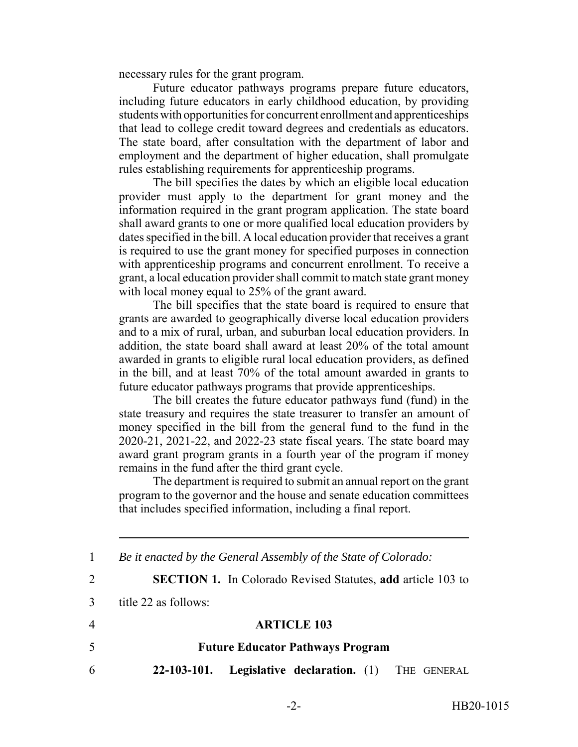necessary rules for the grant program.

Future educator pathways programs prepare future educators, including future educators in early childhood education, by providing students with opportunities for concurrent enrollment and apprenticeships that lead to college credit toward degrees and credentials as educators. The state board, after consultation with the department of labor and employment and the department of higher education, shall promulgate rules establishing requirements for apprenticeship programs.

The bill specifies the dates by which an eligible local education provider must apply to the department for grant money and the information required in the grant program application. The state board shall award grants to one or more qualified local education providers by dates specified in the bill. A local education provider that receives a grant is required to use the grant money for specified purposes in connection with apprenticeship programs and concurrent enrollment. To receive a grant, a local education provider shall commit to match state grant money with local money equal to 25% of the grant award.

The bill specifies that the state board is required to ensure that grants are awarded to geographically diverse local education providers and to a mix of rural, urban, and suburban local education providers. In addition, the state board shall award at least 20% of the total amount awarded in grants to eligible rural local education providers, as defined in the bill, and at least 70% of the total amount awarded in grants to future educator pathways programs that provide apprenticeships.

The bill creates the future educator pathways fund (fund) in the state treasury and requires the state treasurer to transfer an amount of money specified in the bill from the general fund to the fund in the 2020-21, 2021-22, and 2022-23 state fiscal years. The state board may award grant program grants in a fourth year of the program if money remains in the fund after the third grant cycle.

The department is required to submit an annual report on the grant program to the governor and the house and senate education committees that includes specified information, including a final report.

 *Be it enacted by the General Assembly of the State of Colorado:* **SECTION 1.** In Colorado Revised Statutes, **add** article 103 to title 22 as follows: **ARTICLE 103 Future Educator Pathways Program 22-103-101. Legislative declaration.** (1) THE GENERAL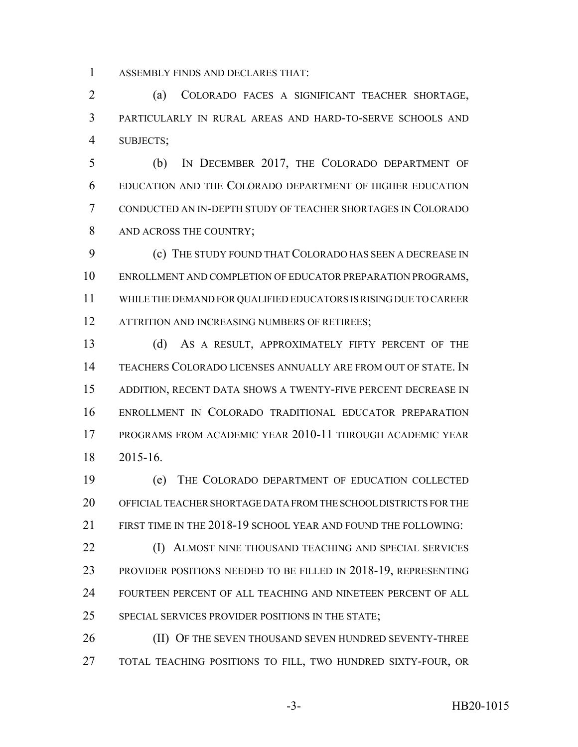ASSEMBLY FINDS AND DECLARES THAT:

 (a) COLORADO FACES A SIGNIFICANT TEACHER SHORTAGE, PARTICULARLY IN RURAL AREAS AND HARD-TO-SERVE SCHOOLS AND SUBJECTS;

 (b) IN DECEMBER 2017, THE COLORADO DEPARTMENT OF EDUCATION AND THE COLORADO DEPARTMENT OF HIGHER EDUCATION CONDUCTED AN IN-DEPTH STUDY OF TEACHER SHORTAGES IN COLORADO 8 AND ACROSS THE COUNTRY;

 (c) THE STUDY FOUND THAT COLORADO HAS SEEN A DECREASE IN ENROLLMENT AND COMPLETION OF EDUCATOR PREPARATION PROGRAMS, WHILE THE DEMAND FOR QUALIFIED EDUCATORS IS RISING DUE TO CAREER 12 ATTRITION AND INCREASING NUMBERS OF RETIREES;

 (d) AS A RESULT, APPROXIMATELY FIFTY PERCENT OF THE TEACHERS COLORADO LICENSES ANNUALLY ARE FROM OUT OF STATE. IN ADDITION, RECENT DATA SHOWS A TWENTY-FIVE PERCENT DECREASE IN ENROLLMENT IN COLORADO TRADITIONAL EDUCATOR PREPARATION PROGRAMS FROM ACADEMIC YEAR 2010-11 THROUGH ACADEMIC YEAR 2015-16.

 (e) THE COLORADO DEPARTMENT OF EDUCATION COLLECTED OFFICIAL TEACHER SHORTAGE DATA FROM THE SCHOOL DISTRICTS FOR THE FIRST TIME IN THE 2018-19 SCHOOL YEAR AND FOUND THE FOLLOWING:

**(I) ALMOST NINE THOUSAND TEACHING AND SPECIAL SERVICES**  PROVIDER POSITIONS NEEDED TO BE FILLED IN 2018-19, REPRESENTING FOURTEEN PERCENT OF ALL TEACHING AND NINETEEN PERCENT OF ALL SPECIAL SERVICES PROVIDER POSITIONS IN THE STATE;

**(II) OF THE SEVEN THOUSAND SEVEN HUNDRED SEVENTY-THREE** TOTAL TEACHING POSITIONS TO FILL, TWO HUNDRED SIXTY-FOUR, OR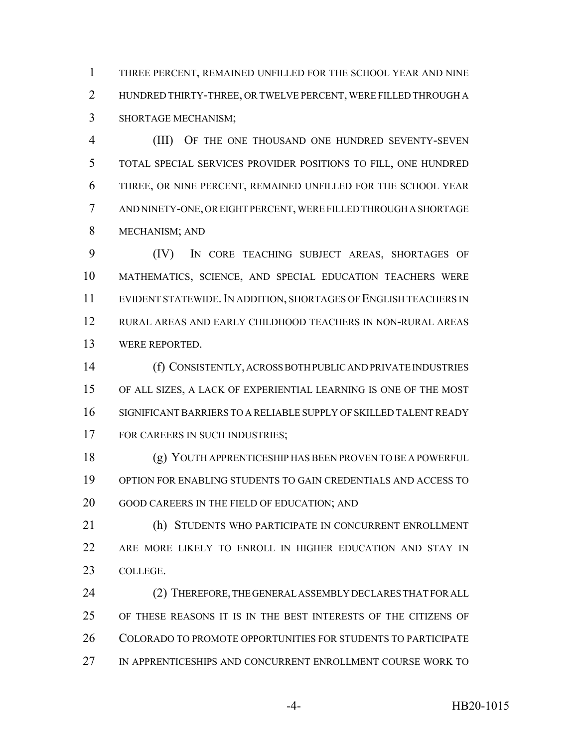THREE PERCENT, REMAINED UNFILLED FOR THE SCHOOL YEAR AND NINE HUNDRED THIRTY-THREE, OR TWELVE PERCENT, WERE FILLED THROUGH A SHORTAGE MECHANISM;

 (III) OF THE ONE THOUSAND ONE HUNDRED SEVENTY-SEVEN TOTAL SPECIAL SERVICES PROVIDER POSITIONS TO FILL, ONE HUNDRED THREE, OR NINE PERCENT, REMAINED UNFILLED FOR THE SCHOOL YEAR AND NINETY-ONE, OR EIGHT PERCENT, WERE FILLED THROUGH A SHORTAGE MECHANISM; AND

 (IV) IN CORE TEACHING SUBJECT AREAS, SHORTAGES OF MATHEMATICS, SCIENCE, AND SPECIAL EDUCATION TEACHERS WERE EVIDENT STATEWIDE.IN ADDITION, SHORTAGES OF ENGLISH TEACHERS IN RURAL AREAS AND EARLY CHILDHOOD TEACHERS IN NON-RURAL AREAS WERE REPORTED.

 (f) CONSISTENTLY, ACROSS BOTH PUBLIC AND PRIVATE INDUSTRIES OF ALL SIZES, A LACK OF EXPERIENTIAL LEARNING IS ONE OF THE MOST SIGNIFICANT BARRIERS TO A RELIABLE SUPPLY OF SKILLED TALENT READY 17 FOR CAREERS IN SUCH INDUSTRIES;

 (g) YOUTH APPRENTICESHIP HAS BEEN PROVEN TO BE A POWERFUL OPTION FOR ENABLING STUDENTS TO GAIN CREDENTIALS AND ACCESS TO GOOD CAREERS IN THE FIELD OF EDUCATION; AND

 (h) STUDENTS WHO PARTICIPATE IN CONCURRENT ENROLLMENT ARE MORE LIKELY TO ENROLL IN HIGHER EDUCATION AND STAY IN COLLEGE.

 (2) THEREFORE, THE GENERAL ASSEMBLY DECLARES THAT FOR ALL OF THESE REASONS IT IS IN THE BEST INTERESTS OF THE CITIZENS OF COLORADO TO PROMOTE OPPORTUNITIES FOR STUDENTS TO PARTICIPATE IN APPRENTICESHIPS AND CONCURRENT ENROLLMENT COURSE WORK TO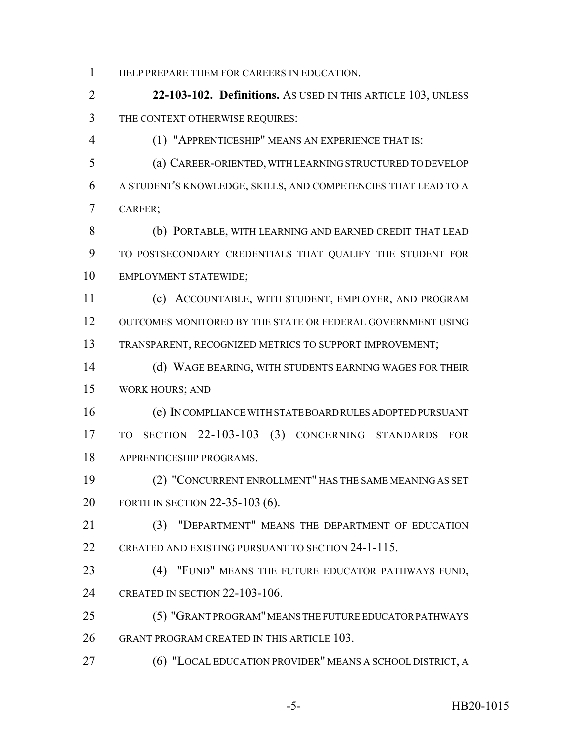HELP PREPARE THEM FOR CAREERS IN EDUCATION.

 **22-103-102. Definitions.** AS USED IN THIS ARTICLE 103, UNLESS THE CONTEXT OTHERWISE REQUIRES:

(1) "APPRENTICESHIP" MEANS AN EXPERIENCE THAT IS:

 (a) CAREER-ORIENTED, WITH LEARNING STRUCTURED TO DEVELOP A STUDENT'S KNOWLEDGE, SKILLS, AND COMPETENCIES THAT LEAD TO A CAREER;

 (b) PORTABLE, WITH LEARNING AND EARNED CREDIT THAT LEAD TO POSTSECONDARY CREDENTIALS THAT QUALIFY THE STUDENT FOR EMPLOYMENT STATEWIDE;

 (c) ACCOUNTABLE, WITH STUDENT, EMPLOYER, AND PROGRAM OUTCOMES MONITORED BY THE STATE OR FEDERAL GOVERNMENT USING TRANSPARENT, RECOGNIZED METRICS TO SUPPORT IMPROVEMENT;

 (d) WAGE BEARING, WITH STUDENTS EARNING WAGES FOR THEIR WORK HOURS; AND

 (e) IN COMPLIANCE WITH STATE BOARD RULES ADOPTED PURSUANT TO SECTION 22-103-103 (3) CONCERNING STANDARDS FOR APPRENTICESHIP PROGRAMS.

 (2) "CONCURRENT ENROLLMENT" HAS THE SAME MEANING AS SET FORTH IN SECTION 22-35-103 (6).

 (3) "DEPARTMENT" MEANS THE DEPARTMENT OF EDUCATION CREATED AND EXISTING PURSUANT TO SECTION 24-1-115.

 (4) "FUND" MEANS THE FUTURE EDUCATOR PATHWAYS FUND, CREATED IN SECTION 22-103-106.

 (5) "GRANT PROGRAM" MEANS THE FUTURE EDUCATOR PATHWAYS GRANT PROGRAM CREATED IN THIS ARTICLE 103.

(6) "LOCAL EDUCATION PROVIDER" MEANS A SCHOOL DISTRICT, A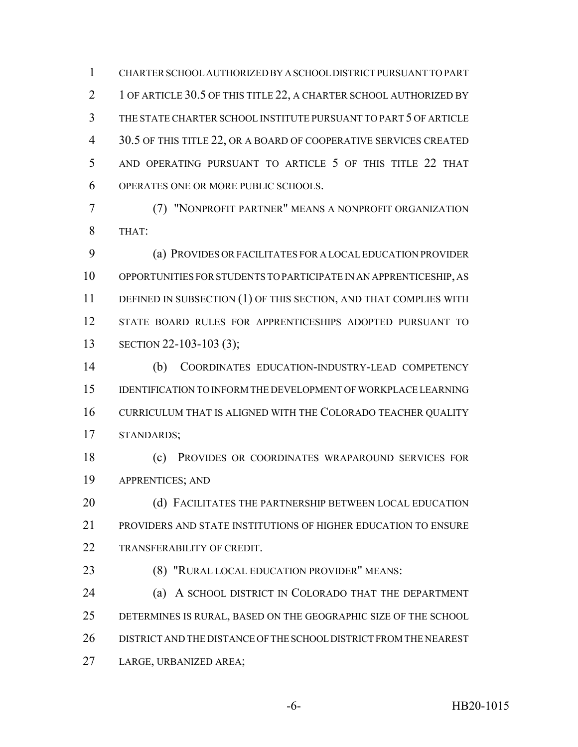CHARTER SCHOOL AUTHORIZED BY A SCHOOL DISTRICT PURSUANT TO PART 2 1 OF ARTICLE 30.5 OF THIS TITLE 22, A CHARTER SCHOOL AUTHORIZED BY THE STATE CHARTER SCHOOL INSTITUTE PURSUANT TO PART 5 OF ARTICLE 30.5 OF THIS TITLE 22, OR A BOARD OF COOPERATIVE SERVICES CREATED AND OPERATING PURSUANT TO ARTICLE 5 OF THIS TITLE 22 THAT OPERATES ONE OR MORE PUBLIC SCHOOLS.

 (7) "NONPROFIT PARTNER" MEANS A NONPROFIT ORGANIZATION THAT:

 (a) PROVIDES OR FACILITATES FOR A LOCAL EDUCATION PROVIDER OPPORTUNITIES FOR STUDENTS TO PARTICIPATE IN AN APPRENTICESHIP, AS 11 DEFINED IN SUBSECTION (1) OF THIS SECTION, AND THAT COMPLIES WITH STATE BOARD RULES FOR APPRENTICESHIPS ADOPTED PURSUANT TO 13 SECTION 22-103-103 (3);

 (b) COORDINATES EDUCATION-INDUSTRY-LEAD COMPETENCY IDENTIFICATION TO INFORM THE DEVELOPMENT OF WORKPLACE LEARNING CURRICULUM THAT IS ALIGNED WITH THE COLORADO TEACHER QUALITY STANDARDS;

 (c) PROVIDES OR COORDINATES WRAPAROUND SERVICES FOR APPRENTICES; AND

20 (d) FACILITATES THE PARTNERSHIP BETWEEN LOCAL EDUCATION PROVIDERS AND STATE INSTITUTIONS OF HIGHER EDUCATION TO ENSURE TRANSFERABILITY OF CREDIT.

(8) "RURAL LOCAL EDUCATION PROVIDER" MEANS:

 (a) A SCHOOL DISTRICT IN COLORADO THAT THE DEPARTMENT DETERMINES IS RURAL, BASED ON THE GEOGRAPHIC SIZE OF THE SCHOOL DISTRICT AND THE DISTANCE OF THE SCHOOL DISTRICT FROM THE NEAREST LARGE, URBANIZED AREA;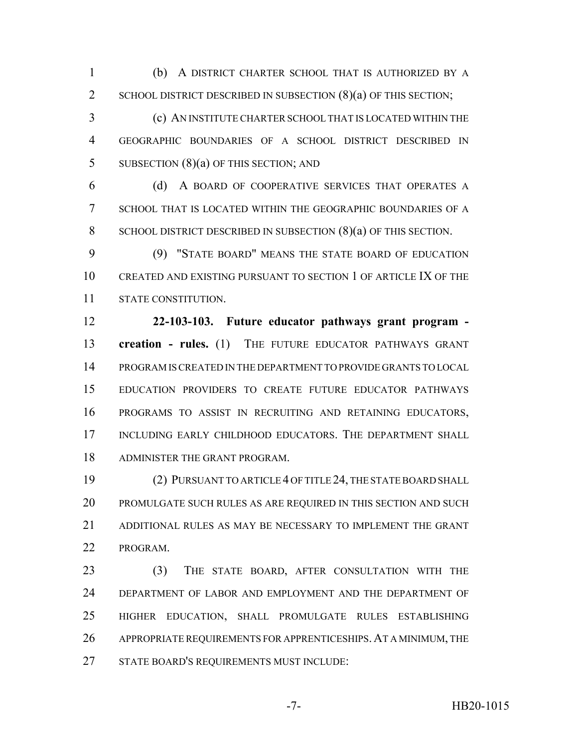(b) A DISTRICT CHARTER SCHOOL THAT IS AUTHORIZED BY A 2 SCHOOL DISTRICT DESCRIBED IN SUBSECTION (8)(a) OF THIS SECTION;

 (c) AN INSTITUTE CHARTER SCHOOL THAT IS LOCATED WITHIN THE GEOGRAPHIC BOUNDARIES OF A SCHOOL DISTRICT DESCRIBED IN 5 SUBSECTION (8)(a) OF THIS SECTION; AND

 (d) A BOARD OF COOPERATIVE SERVICES THAT OPERATES A SCHOOL THAT IS LOCATED WITHIN THE GEOGRAPHIC BOUNDARIES OF A 8 SCHOOL DISTRICT DESCRIBED IN SUBSECTION (8)(a) OF THIS SECTION.

 (9) "STATE BOARD" MEANS THE STATE BOARD OF EDUCATION CREATED AND EXISTING PURSUANT TO SECTION 1 OF ARTICLE IX OF THE STATE CONSTITUTION.

 **22-103-103. Future educator pathways grant program - creation - rules.** (1) THE FUTURE EDUCATOR PATHWAYS GRANT PROGRAM IS CREATED IN THE DEPARTMENT TO PROVIDE GRANTS TO LOCAL EDUCATION PROVIDERS TO CREATE FUTURE EDUCATOR PATHWAYS PROGRAMS TO ASSIST IN RECRUITING AND RETAINING EDUCATORS, 17 INCLUDING EARLY CHILDHOOD EDUCATORS. THE DEPARTMENT SHALL ADMINISTER THE GRANT PROGRAM.

 (2) PURSUANT TO ARTICLE 4 OF TITLE 24, THE STATE BOARD SHALL PROMULGATE SUCH RULES AS ARE REQUIRED IN THIS SECTION AND SUCH ADDITIONAL RULES AS MAY BE NECESSARY TO IMPLEMENT THE GRANT PROGRAM.

 (3) THE STATE BOARD, AFTER CONSULTATION WITH THE DEPARTMENT OF LABOR AND EMPLOYMENT AND THE DEPARTMENT OF HIGHER EDUCATION, SHALL PROMULGATE RULES ESTABLISHING APPROPRIATE REQUIREMENTS FOR APPRENTICESHIPS.AT A MINIMUM, THE STATE BOARD'S REQUIREMENTS MUST INCLUDE: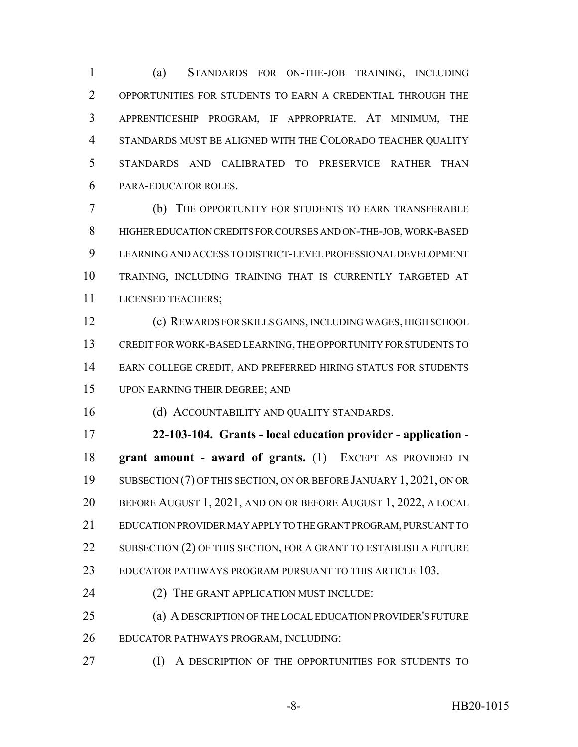(a) STANDARDS FOR ON-THE-JOB TRAINING, INCLUDING OPPORTUNITIES FOR STUDENTS TO EARN A CREDENTIAL THROUGH THE APPRENTICESHIP PROGRAM, IF APPROPRIATE. AT MINIMUM, THE STANDARDS MUST BE ALIGNED WITH THE COLORADO TEACHER QUALITY STANDARDS AND CALIBRATED TO PRESERVICE RATHER THAN PARA-EDUCATOR ROLES.

 (b) THE OPPORTUNITY FOR STUDENTS TO EARN TRANSFERABLE HIGHER EDUCATION CREDITS FOR COURSES AND ON-THE-JOB, WORK-BASED LEARNING AND ACCESS TO DISTRICT-LEVEL PROFESSIONAL DEVELOPMENT TRAINING, INCLUDING TRAINING THAT IS CURRENTLY TARGETED AT LICENSED TEACHERS;

 (c) REWARDS FOR SKILLS GAINS, INCLUDING WAGES, HIGH SCHOOL CREDIT FOR WORK-BASED LEARNING, THE OPPORTUNITY FOR STUDENTS TO EARN COLLEGE CREDIT, AND PREFERRED HIRING STATUS FOR STUDENTS UPON EARNING THEIR DEGREE; AND

(d) ACCOUNTABILITY AND QUALITY STANDARDS.

 **22-103-104. Grants - local education provider - application - grant amount - award of grants.** (1) EXCEPT AS PROVIDED IN SUBSECTION (7) OF THIS SECTION, ON OR BEFORE JANUARY 1, 2021, ON OR BEFORE AUGUST 1, 2021, AND ON OR BEFORE AUGUST 1, 2022, A LOCAL EDUCATION PROVIDER MAY APPLY TO THE GRANT PROGRAM, PURSUANT TO 22 SUBSECTION (2) OF THIS SECTION, FOR A GRANT TO ESTABLISH A FUTURE EDUCATOR PATHWAYS PROGRAM PURSUANT TO THIS ARTICLE 103.

(2) THE GRANT APPLICATION MUST INCLUDE:

 (a) A DESCRIPTION OF THE LOCAL EDUCATION PROVIDER'S FUTURE EDUCATOR PATHWAYS PROGRAM, INCLUDING:

(I) A DESCRIPTION OF THE OPPORTUNITIES FOR STUDENTS TO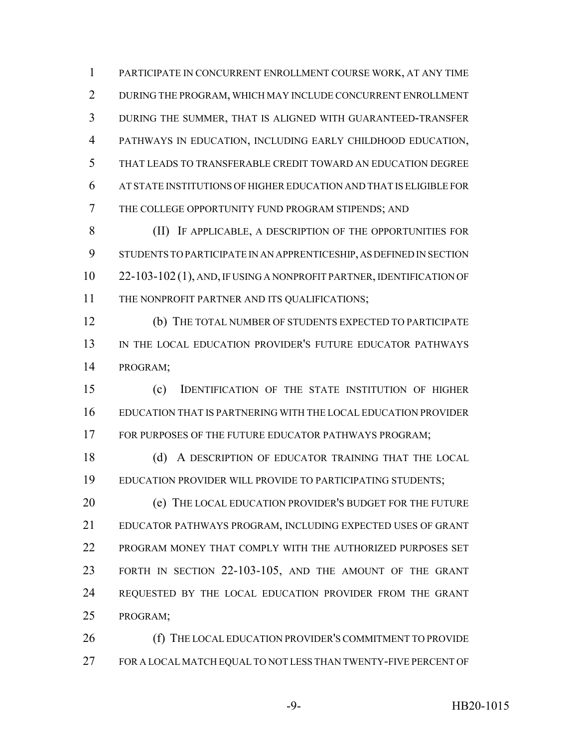PARTICIPATE IN CONCURRENT ENROLLMENT COURSE WORK, AT ANY TIME DURING THE PROGRAM, WHICH MAY INCLUDE CONCURRENT ENROLLMENT DURING THE SUMMER, THAT IS ALIGNED WITH GUARANTEED-TRANSFER PATHWAYS IN EDUCATION, INCLUDING EARLY CHILDHOOD EDUCATION, THAT LEADS TO TRANSFERABLE CREDIT TOWARD AN EDUCATION DEGREE AT STATE INSTITUTIONS OF HIGHER EDUCATION AND THAT IS ELIGIBLE FOR THE COLLEGE OPPORTUNITY FUND PROGRAM STIPENDS; AND

 (II) IF APPLICABLE, A DESCRIPTION OF THE OPPORTUNITIES FOR STUDENTS TO PARTICIPATE IN AN APPRENTICESHIP, AS DEFINED IN SECTION 22-103-102 (1), AND, IF USING A NONPROFIT PARTNER, IDENTIFICATION OF 11 THE NONPROFIT PARTNER AND ITS QUALIFICATIONS;

 (b) THE TOTAL NUMBER OF STUDENTS EXPECTED TO PARTICIPATE IN THE LOCAL EDUCATION PROVIDER'S FUTURE EDUCATOR PATHWAYS PROGRAM;

 (c) IDENTIFICATION OF THE STATE INSTITUTION OF HIGHER EDUCATION THAT IS PARTNERING WITH THE LOCAL EDUCATION PROVIDER 17 FOR PURPOSES OF THE FUTURE EDUCATOR PATHWAYS PROGRAM;

18 (d) A DESCRIPTION OF EDUCATOR TRAINING THAT THE LOCAL EDUCATION PROVIDER WILL PROVIDE TO PARTICIPATING STUDENTS;

**(e)** THE LOCAL EDUCATION PROVIDER'S BUDGET FOR THE FUTURE EDUCATOR PATHWAYS PROGRAM, INCLUDING EXPECTED USES OF GRANT PROGRAM MONEY THAT COMPLY WITH THE AUTHORIZED PURPOSES SET FORTH IN SECTION 22-103-105, AND THE AMOUNT OF THE GRANT REQUESTED BY THE LOCAL EDUCATION PROVIDER FROM THE GRANT PROGRAM;

**(f)** THE LOCAL EDUCATION PROVIDER'S COMMITMENT TO PROVIDE FOR A LOCAL MATCH EQUAL TO NOT LESS THAN TWENTY-FIVE PERCENT OF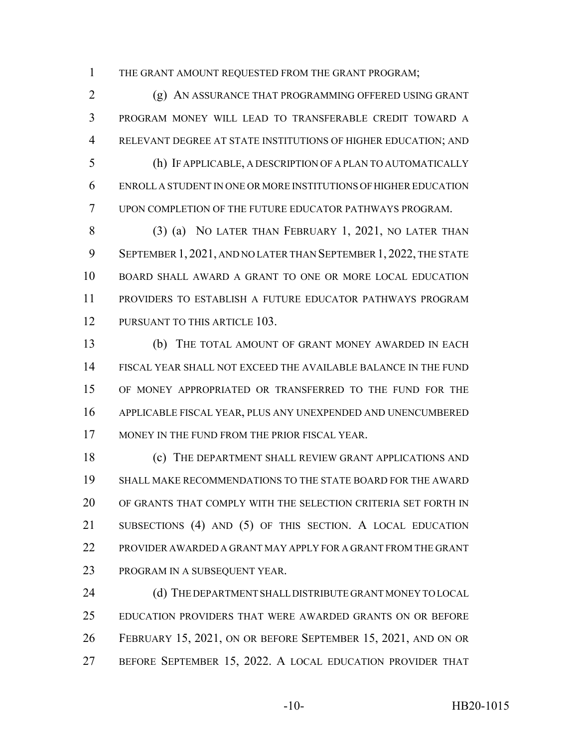THE GRANT AMOUNT REQUESTED FROM THE GRANT PROGRAM;

 (g) AN ASSURANCE THAT PROGRAMMING OFFERED USING GRANT PROGRAM MONEY WILL LEAD TO TRANSFERABLE CREDIT TOWARD A RELEVANT DEGREE AT STATE INSTITUTIONS OF HIGHER EDUCATION; AND (h) IF APPLICABLE, A DESCRIPTION OF A PLAN TO AUTOMATICALLY

 ENROLL A STUDENT IN ONE OR MORE INSTITUTIONS OF HIGHER EDUCATION UPON COMPLETION OF THE FUTURE EDUCATOR PATHWAYS PROGRAM.

8 (3) (a) NO LATER THAN FEBRUARY 1, 2021, NO LATER THAN SEPTEMBER 1, 2021, AND NO LATER THAN SEPTEMBER 1, 2022, THE STATE BOARD SHALL AWARD A GRANT TO ONE OR MORE LOCAL EDUCATION PROVIDERS TO ESTABLISH A FUTURE EDUCATOR PATHWAYS PROGRAM 12 PURSUANT TO THIS ARTICLE 103.

 (b) THE TOTAL AMOUNT OF GRANT MONEY AWARDED IN EACH FISCAL YEAR SHALL NOT EXCEED THE AVAILABLE BALANCE IN THE FUND OF MONEY APPROPRIATED OR TRANSFERRED TO THE FUND FOR THE APPLICABLE FISCAL YEAR, PLUS ANY UNEXPENDED AND UNENCUMBERED MONEY IN THE FUND FROM THE PRIOR FISCAL YEAR.

**(c)** THE DEPARTMENT SHALL REVIEW GRANT APPLICATIONS AND SHALL MAKE RECOMMENDATIONS TO THE STATE BOARD FOR THE AWARD OF GRANTS THAT COMPLY WITH THE SELECTION CRITERIA SET FORTH IN SUBSECTIONS (4) AND (5) OF THIS SECTION. A LOCAL EDUCATION PROVIDER AWARDED A GRANT MAY APPLY FOR A GRANT FROM THE GRANT PROGRAM IN A SUBSEQUENT YEAR.

24 (d) THE DEPARTMENT SHALL DISTRIBUTE GRANT MONEY TO LOCAL EDUCATION PROVIDERS THAT WERE AWARDED GRANTS ON OR BEFORE FEBRUARY 15, 2021, ON OR BEFORE SEPTEMBER 15, 2021, AND ON OR BEFORE SEPTEMBER 15, 2022. A LOCAL EDUCATION PROVIDER THAT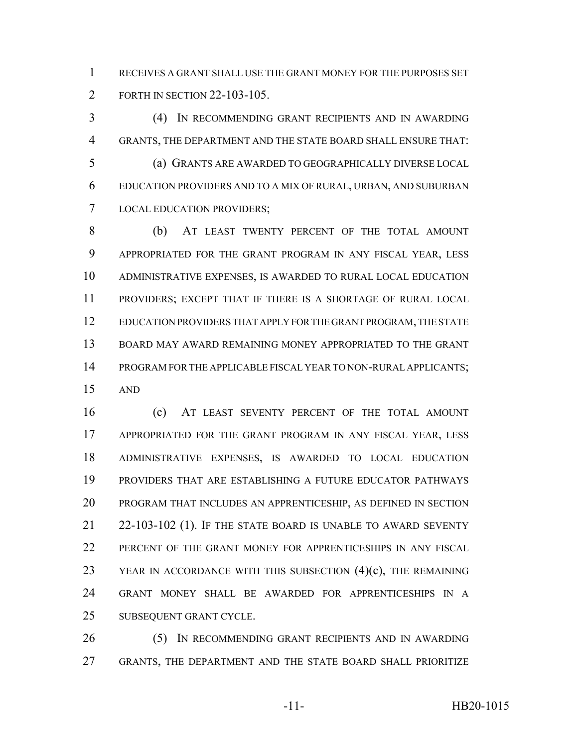RECEIVES A GRANT SHALL USE THE GRANT MONEY FOR THE PURPOSES SET FORTH IN SECTION 22-103-105.

 (4) IN RECOMMENDING GRANT RECIPIENTS AND IN AWARDING GRANTS, THE DEPARTMENT AND THE STATE BOARD SHALL ENSURE THAT: (a) GRANTS ARE AWARDED TO GEOGRAPHICALLY DIVERSE LOCAL EDUCATION PROVIDERS AND TO A MIX OF RURAL, URBAN, AND SUBURBAN LOCAL EDUCATION PROVIDERS;

 (b) AT LEAST TWENTY PERCENT OF THE TOTAL AMOUNT APPROPRIATED FOR THE GRANT PROGRAM IN ANY FISCAL YEAR, LESS ADMINISTRATIVE EXPENSES, IS AWARDED TO RURAL LOCAL EDUCATION PROVIDERS; EXCEPT THAT IF THERE IS A SHORTAGE OF RURAL LOCAL EDUCATION PROVIDERS THAT APPLY FOR THE GRANT PROGRAM, THE STATE BOARD MAY AWARD REMAINING MONEY APPROPRIATED TO THE GRANT PROGRAM FOR THE APPLICABLE FISCAL YEAR TO NON-RURAL APPLICANTS; AND

 (c) AT LEAST SEVENTY PERCENT OF THE TOTAL AMOUNT APPROPRIATED FOR THE GRANT PROGRAM IN ANY FISCAL YEAR, LESS ADMINISTRATIVE EXPENSES, IS AWARDED TO LOCAL EDUCATION PROVIDERS THAT ARE ESTABLISHING A FUTURE EDUCATOR PATHWAYS PROGRAM THAT INCLUDES AN APPRENTICESHIP, AS DEFINED IN SECTION 22-103-102 (1). IF THE STATE BOARD IS UNABLE TO AWARD SEVENTY PERCENT OF THE GRANT MONEY FOR APPRENTICESHIPS IN ANY FISCAL 23 YEAR IN ACCORDANCE WITH THIS SUBSECTION  $(4)(c)$ , THE REMAINING GRANT MONEY SHALL BE AWARDED FOR APPRENTICESHIPS IN A SUBSEQUENT GRANT CYCLE.

 (5) IN RECOMMENDING GRANT RECIPIENTS AND IN AWARDING GRANTS, THE DEPARTMENT AND THE STATE BOARD SHALL PRIORITIZE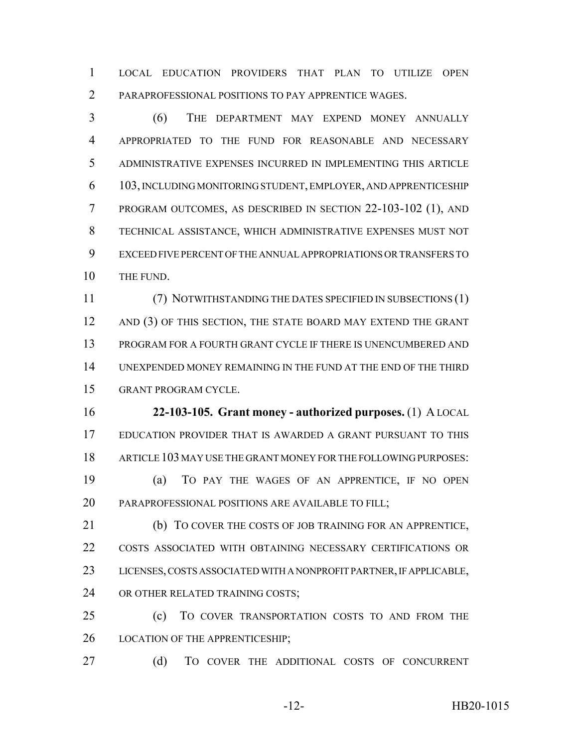LOCAL EDUCATION PROVIDERS THAT PLAN TO UTILIZE OPEN PARAPROFESSIONAL POSITIONS TO PAY APPRENTICE WAGES.

 (6) THE DEPARTMENT MAY EXPEND MONEY ANNUALLY APPROPRIATED TO THE FUND FOR REASONABLE AND NECESSARY ADMINISTRATIVE EXPENSES INCURRED IN IMPLEMENTING THIS ARTICLE 103, INCLUDING MONITORING STUDENT, EMPLOYER, AND APPRENTICESHIP PROGRAM OUTCOMES, AS DESCRIBED IN SECTION 22-103-102 (1), AND TECHNICAL ASSISTANCE, WHICH ADMINISTRATIVE EXPENSES MUST NOT EXCEED FIVE PERCENT OF THE ANNUAL APPROPRIATIONS OR TRANSFERS TO 10 THE FUND.

 (7) NOTWITHSTANDING THE DATES SPECIFIED IN SUBSECTIONS (1) 12 AND (3) OF THIS SECTION, THE STATE BOARD MAY EXTEND THE GRANT PROGRAM FOR A FOURTH GRANT CYCLE IF THERE IS UNENCUMBERED AND UNEXPENDED MONEY REMAINING IN THE FUND AT THE END OF THE THIRD GRANT PROGRAM CYCLE.

 **22-103-105. Grant money - authorized purposes.** (1) A LOCAL EDUCATION PROVIDER THAT IS AWARDED A GRANT PURSUANT TO THIS ARTICLE 103 MAY USE THE GRANT MONEY FOR THE FOLLOWING PURPOSES: (a) TO PAY THE WAGES OF AN APPRENTICE, IF NO OPEN

20 PARAPROFESSIONAL POSITIONS ARE AVAILABLE TO FILL;

 (b) TO COVER THE COSTS OF JOB TRAINING FOR AN APPRENTICE, COSTS ASSOCIATED WITH OBTAINING NECESSARY CERTIFICATIONS OR LICENSES, COSTS ASSOCIATED WITH A NONPROFIT PARTNER, IF APPLICABLE, 24 OR OTHER RELATED TRAINING COSTS;

 (c) TO COVER TRANSPORTATION COSTS TO AND FROM THE 26 LOCATION OF THE APPRENTICESHIP;

27 (d) TO COVER THE ADDITIONAL COSTS OF CONCURRENT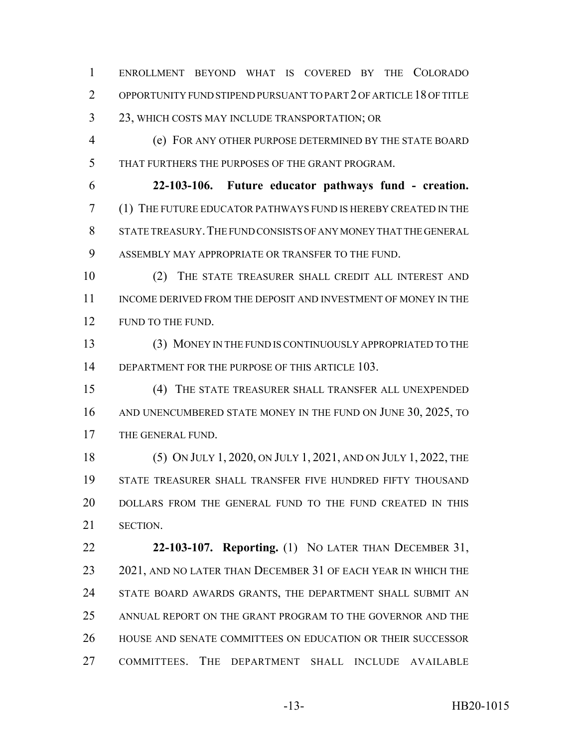ENROLLMENT BEYOND WHAT IS COVERED BY THE COLORADO OPPORTUNITY FUND STIPEND PURSUANT TO PART 2 OF ARTICLE 18 OF TITLE 23, WHICH COSTS MAY INCLUDE TRANSPORTATION; OR

 (e) FOR ANY OTHER PURPOSE DETERMINED BY THE STATE BOARD THAT FURTHERS THE PURPOSES OF THE GRANT PROGRAM.

 **22-103-106. Future educator pathways fund - creation.** (1) THE FUTURE EDUCATOR PATHWAYS FUND IS HEREBY CREATED IN THE 8 STATE TREASURY. THE FUND CONSISTS OF ANY MONEY THAT THE GENERAL ASSEMBLY MAY APPROPRIATE OR TRANSFER TO THE FUND.

 (2) THE STATE TREASURER SHALL CREDIT ALL INTEREST AND 11 INCOME DERIVED FROM THE DEPOSIT AND INVESTMENT OF MONEY IN THE 12 FUND TO THE FUND.

 (3) MONEY IN THE FUND IS CONTINUOUSLY APPROPRIATED TO THE 14 DEPARTMENT FOR THE PURPOSE OF THIS ARTICLE 103.

 (4) THE STATE TREASURER SHALL TRANSFER ALL UNEXPENDED 16 AND UNENCUMBERED STATE MONEY IN THE FUND ON JUNE 30, 2025, TO THE GENERAL FUND.

 (5) ON JULY 1, 2020, ON JULY 1, 2021, AND ON JULY 1, 2022, THE STATE TREASURER SHALL TRANSFER FIVE HUNDRED FIFTY THOUSAND DOLLARS FROM THE GENERAL FUND TO THE FUND CREATED IN THIS SECTION.

 **22-103-107. Reporting.** (1) NO LATER THAN DECEMBER 31, 23 2021, AND NO LATER THAN DECEMBER 31 OF EACH YEAR IN WHICH THE 24 STATE BOARD AWARDS GRANTS, THE DEPARTMENT SHALL SUBMIT AN ANNUAL REPORT ON THE GRANT PROGRAM TO THE GOVERNOR AND THE HOUSE AND SENATE COMMITTEES ON EDUCATION OR THEIR SUCCESSOR COMMITTEES. THE DEPARTMENT SHALL INCLUDE AVAILABLE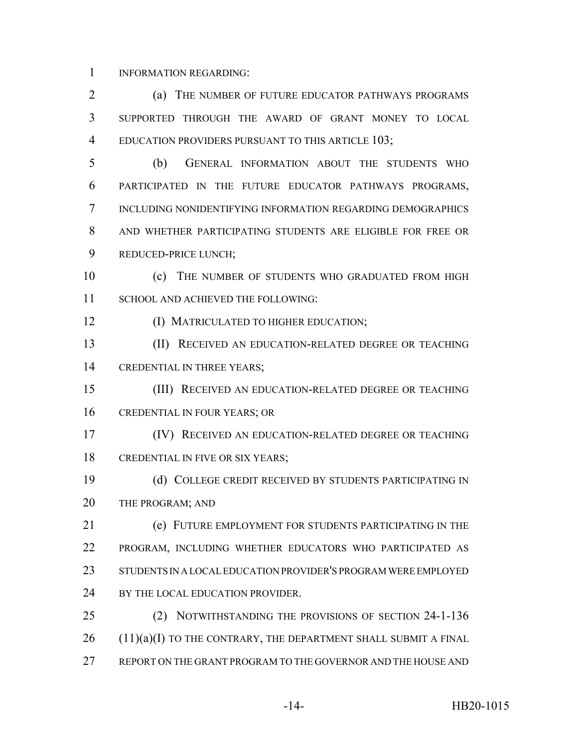INFORMATION REGARDING:

 (a) THE NUMBER OF FUTURE EDUCATOR PATHWAYS PROGRAMS SUPPORTED THROUGH THE AWARD OF GRANT MONEY TO LOCAL 4 EDUCATION PROVIDERS PURSUANT TO THIS ARTICLE 103;

 (b) GENERAL INFORMATION ABOUT THE STUDENTS WHO PARTICIPATED IN THE FUTURE EDUCATOR PATHWAYS PROGRAMS, INCLUDING NONIDENTIFYING INFORMATION REGARDING DEMOGRAPHICS AND WHETHER PARTICIPATING STUDENTS ARE ELIGIBLE FOR FREE OR REDUCED-PRICE LUNCH;

10 (c) THE NUMBER OF STUDENTS WHO GRADUATED FROM HIGH 11 SCHOOL AND ACHIEVED THE FOLLOWING:

(I) MATRICULATED TO HIGHER EDUCATION;

 (II) RECEIVED AN EDUCATION-RELATED DEGREE OR TEACHING CREDENTIAL IN THREE YEARS;

 (III) RECEIVED AN EDUCATION-RELATED DEGREE OR TEACHING CREDENTIAL IN FOUR YEARS; OR

 (IV) RECEIVED AN EDUCATION-RELATED DEGREE OR TEACHING 18 CREDENTIAL IN FIVE OR SIX YEARS;

 (d) COLLEGE CREDIT RECEIVED BY STUDENTS PARTICIPATING IN 20 THE PROGRAM; AND

 (e) FUTURE EMPLOYMENT FOR STUDENTS PARTICIPATING IN THE PROGRAM, INCLUDING WHETHER EDUCATORS WHO PARTICIPATED AS STUDENTS IN A LOCAL EDUCATION PROVIDER'S PROGRAM WERE EMPLOYED 24 BY THE LOCAL EDUCATION PROVIDER.

 (2) NOTWITHSTANDING THE PROVISIONS OF SECTION 24-1-136 (11)(a)(I) TO THE CONTRARY, THE DEPARTMENT SHALL SUBMIT A FINAL REPORT ON THE GRANT PROGRAM TO THE GOVERNOR AND THE HOUSE AND